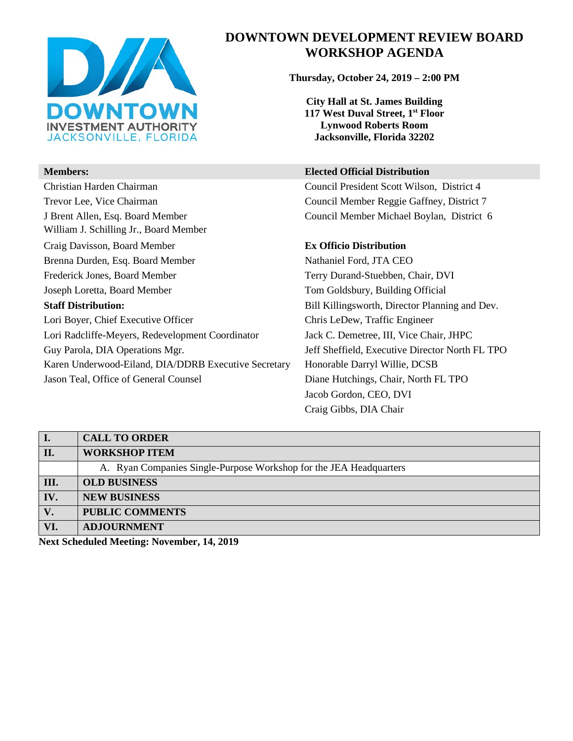

William J. Schilling Jr., Board Member

# **DOWNTOWN DEVELOPMENT REVIEW BOARD WORKSHOP AGENDA**

**Thursday, October 24, 2019 – 2:00 PM**

**City Hall at St. James Building 117 West Duval Street, 1st Floor Lynwood Roberts Room Jacksonville, Florida 32202** 

#### **Members: Elected Official Distribution**

Christian Harden Chairman Council President Scott Wilson, District 4 Trevor Lee, Vice Chairman Council Member Reggie Gaffney, District 7 J Brent Allen, Esq. Board Member Council Member Michael Boylan, District 6

### Craig Davisson, Board Member **Ex Officio Distribution**

Brenna Durden, Esq. Board Member Nathaniel Ford, JTA CEO Frederick Jones, Board Member Terry Durand-Stuebben, Chair, DVI Joseph Loretta, Board Member Tom Goldsbury, Building Official **Staff Distribution:** Bill Killingsworth, Director Planning and Dev. Lori Boyer, Chief Executive Officer Chris LeDew, Traffic Engineer Lori Radcliffe-Meyers, Redevelopment Coordinator Jack C. Demetree, III, Vice Chair, JHPC Guy Parola, DIA Operations Mgr. Jeff Sheffield, Executive Director North FL TPO Karen Underwood-Eiland, DIA/DDRB Executive Secretary Honorable Darryl Willie, DCSB Jason Teal, Office of General Counsel Diane Hutchings, Chair, North FL TPO Jacob Gordon, CEO, DVI Craig Gibbs, DIA Chair

|      | <b>CALL TO ORDER</b>                                               |
|------|--------------------------------------------------------------------|
| II.  | <b>WORKSHOP ITEM</b>                                               |
|      | A. Ryan Companies Single-Purpose Workshop for the JEA Headquarters |
| III. | <b>OLD BUSINESS</b>                                                |
| IV.  | <b>NEW BUSINESS</b>                                                |
| V.   | <b>PUBLIC COMMENTS</b>                                             |
| VI.  | <b>ADJOURNMENT</b>                                                 |
|      |                                                                    |

**Next Scheduled Meeting: November, 14, 2019**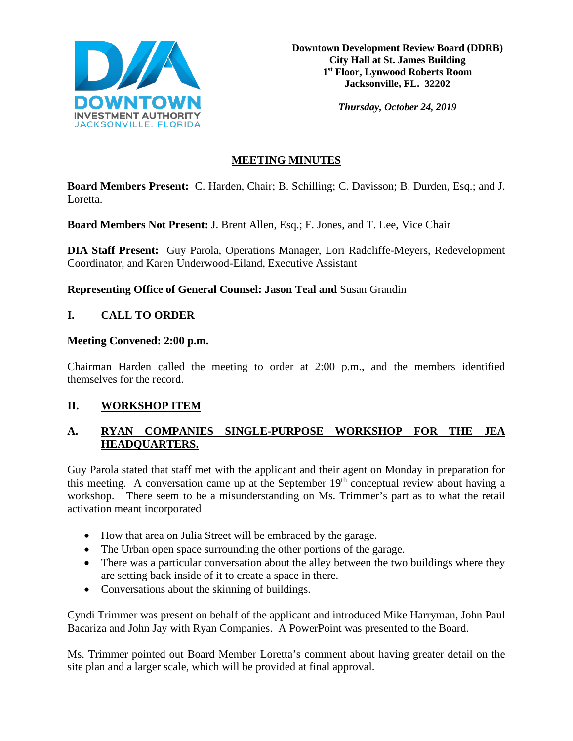

*Thursday, October 24, 2019*

# **MEETING MINUTES**

**Board Members Present:** C. Harden, Chair; B. Schilling; C. Davisson; B. Durden, Esq.; and J. Loretta.

**Board Members Not Present:** J. Brent Allen, Esq.; F. Jones, and T. Lee, Vice Chair

**DIA Staff Present:** Guy Parola, Operations Manager, Lori Radcliffe-Meyers, Redevelopment Coordinator, and Karen Underwood-Eiland, Executive Assistant

**Representing Office of General Counsel: Jason Teal and** Susan Grandin

# **I. CALL TO ORDER**

## **Meeting Convened: 2:00 p.m.**

Chairman Harden called the meeting to order at 2:00 p.m., and the members identified themselves for the record.

# **II. WORKSHOP ITEM**

# **A. RYAN COMPANIES SINGLE-PURPOSE WORKSHOP FOR THE JEA HEADQUARTERS.**

Guy Parola stated that staff met with the applicant and their agent on Monday in preparation for this meeting. A conversation came up at the September  $19<sup>th</sup>$  conceptual review about having a workshop. There seem to be a misunderstanding on Ms. Trimmer's part as to what the retail activation meant incorporated

- How that area on Julia Street will be embraced by the garage.
- The Urban open space surrounding the other portions of the garage.
- There was a particular conversation about the alley between the two buildings where they are setting back inside of it to create a space in there.
- Conversations about the skinning of buildings.

Cyndi Trimmer was present on behalf of the applicant and introduced Mike Harryman, John Paul Bacariza and John Jay with Ryan Companies. A PowerPoint was presented to the Board.

Ms. Trimmer pointed out Board Member Loretta's comment about having greater detail on the site plan and a larger scale, which will be provided at final approval.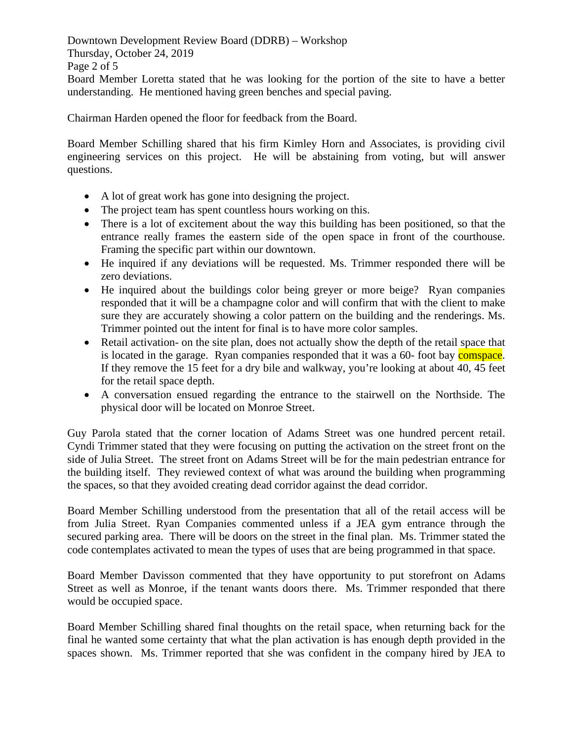Downtown Development Review Board (DDRB) – Workshop Thursday, October 24, 2019 Page 2 of 5 Board Member Loretta stated that he was looking for the portion of the site to have a better understanding. He mentioned having green benches and special paving.

Chairman Harden opened the floor for feedback from the Board.

Board Member Schilling shared that his firm Kimley Horn and Associates, is providing civil engineering services on this project. He will be abstaining from voting, but will answer questions.

- A lot of great work has gone into designing the project.
- The project team has spent countless hours working on this.
- There is a lot of excitement about the way this building has been positioned, so that the entrance really frames the eastern side of the open space in front of the courthouse. Framing the specific part within our downtown.
- He inquired if any deviations will be requested. Ms. Trimmer responded there will be zero deviations.
- He inquired about the buildings color being greyer or more beige? Ryan companies responded that it will be a champagne color and will confirm that with the client to make sure they are accurately showing a color pattern on the building and the renderings. Ms. Trimmer pointed out the intent for final is to have more color samples.
- Retail activation- on the site plan, does not actually show the depth of the retail space that is located in the garage. Ryan companies responded that it was a 60- foot bay comspace. If they remove the 15 feet for a dry bile and walkway, you're looking at about 40, 45 feet for the retail space depth.
- A conversation ensued regarding the entrance to the stairwell on the Northside. The physical door will be located on Monroe Street.

Guy Parola stated that the corner location of Adams Street was one hundred percent retail. Cyndi Trimmer stated that they were focusing on putting the activation on the street front on the side of Julia Street. The street front on Adams Street will be for the main pedestrian entrance for the building itself. They reviewed context of what was around the building when programming the spaces, so that they avoided creating dead corridor against the dead corridor.

Board Member Schilling understood from the presentation that all of the retail access will be from Julia Street. Ryan Companies commented unless if a JEA gym entrance through the secured parking area. There will be doors on the street in the final plan. Ms. Trimmer stated the code contemplates activated to mean the types of uses that are being programmed in that space.

Board Member Davisson commented that they have opportunity to put storefront on Adams Street as well as Monroe, if the tenant wants doors there. Ms. Trimmer responded that there would be occupied space.

Board Member Schilling shared final thoughts on the retail space, when returning back for the final he wanted some certainty that what the plan activation is has enough depth provided in the spaces shown. Ms. Trimmer reported that she was confident in the company hired by JEA to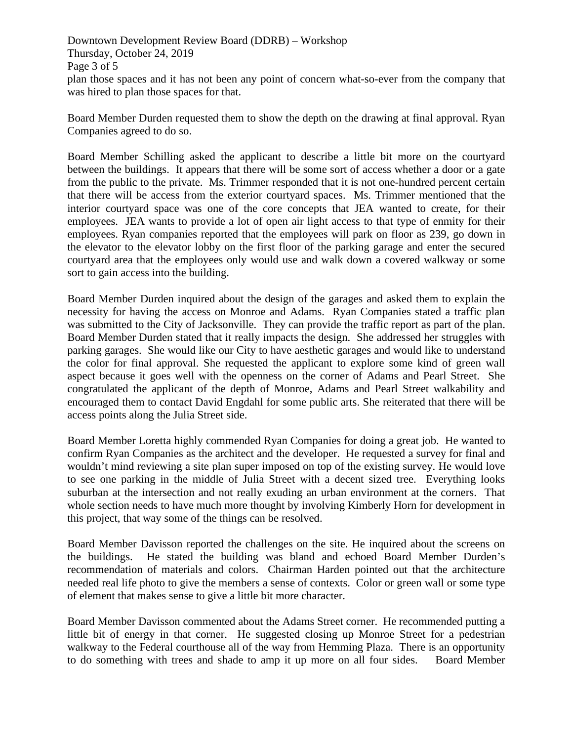Downtown Development Review Board (DDRB) – Workshop Thursday, October 24, 2019 Page 3 of 5 plan those spaces and it has not been any point of concern what-so-ever from the company that was hired to plan those spaces for that.

Board Member Durden requested them to show the depth on the drawing at final approval. Ryan Companies agreed to do so.

Board Member Schilling asked the applicant to describe a little bit more on the courtyard between the buildings. It appears that there will be some sort of access whether a door or a gate from the public to the private. Ms. Trimmer responded that it is not one-hundred percent certain that there will be access from the exterior courtyard spaces. Ms. Trimmer mentioned that the interior courtyard space was one of the core concepts that JEA wanted to create, for their employees. JEA wants to provide a lot of open air light access to that type of enmity for their employees. Ryan companies reported that the employees will park on floor as 239, go down in the elevator to the elevator lobby on the first floor of the parking garage and enter the secured courtyard area that the employees only would use and walk down a covered walkway or some sort to gain access into the building.

Board Member Durden inquired about the design of the garages and asked them to explain the necessity for having the access on Monroe and Adams. Ryan Companies stated a traffic plan was submitted to the City of Jacksonville. They can provide the traffic report as part of the plan. Board Member Durden stated that it really impacts the design. She addressed her struggles with parking garages. She would like our City to have aesthetic garages and would like to understand the color for final approval. She requested the applicant to explore some kind of green wall aspect because it goes well with the openness on the corner of Adams and Pearl Street. She congratulated the applicant of the depth of Monroe, Adams and Pearl Street walkability and encouraged them to contact David Engdahl for some public arts. She reiterated that there will be access points along the Julia Street side.

Board Member Loretta highly commended Ryan Companies for doing a great job. He wanted to confirm Ryan Companies as the architect and the developer. He requested a survey for final and wouldn't mind reviewing a site plan super imposed on top of the existing survey. He would love to see one parking in the middle of Julia Street with a decent sized tree. Everything looks suburban at the intersection and not really exuding an urban environment at the corners. That whole section needs to have much more thought by involving Kimberly Horn for development in this project, that way some of the things can be resolved.

Board Member Davisson reported the challenges on the site. He inquired about the screens on the buildings. He stated the building was bland and echoed Board Member Durden's recommendation of materials and colors. Chairman Harden pointed out that the architecture needed real life photo to give the members a sense of contexts. Color or green wall or some type of element that makes sense to give a little bit more character.

Board Member Davisson commented about the Adams Street corner. He recommended putting a little bit of energy in that corner. He suggested closing up Monroe Street for a pedestrian walkway to the Federal courthouse all of the way from Hemming Plaza. There is an opportunity to do something with trees and shade to amp it up more on all four sides. Board Member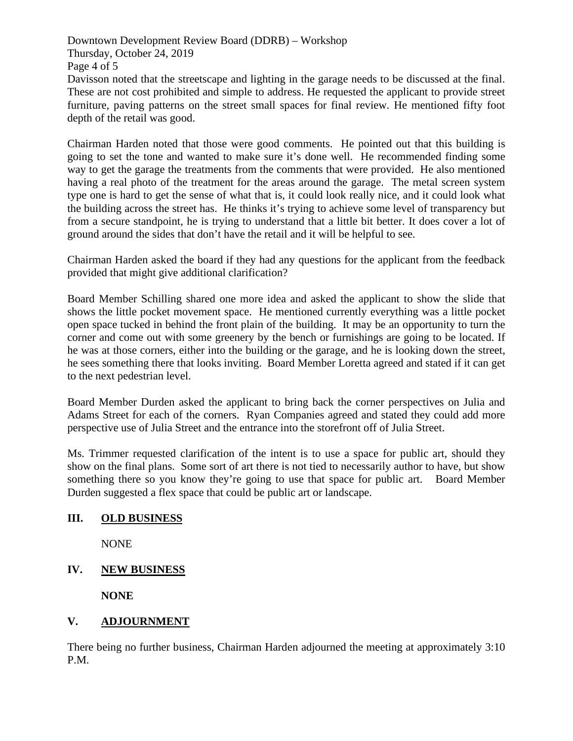Downtown Development Review Board (DDRB) – Workshop Thursday, October 24, 2019 Page 4 of 5

Davisson noted that the streetscape and lighting in the garage needs to be discussed at the final. These are not cost prohibited and simple to address. He requested the applicant to provide street furniture, paving patterns on the street small spaces for final review. He mentioned fifty foot depth of the retail was good.

Chairman Harden noted that those were good comments. He pointed out that this building is going to set the tone and wanted to make sure it's done well. He recommended finding some way to get the garage the treatments from the comments that were provided. He also mentioned having a real photo of the treatment for the areas around the garage. The metal screen system type one is hard to get the sense of what that is, it could look really nice, and it could look what the building across the street has. He thinks it's trying to achieve some level of transparency but from a secure standpoint, he is trying to understand that a little bit better. It does cover a lot of ground around the sides that don't have the retail and it will be helpful to see.

Chairman Harden asked the board if they had any questions for the applicant from the feedback provided that might give additional clarification?

Board Member Schilling shared one more idea and asked the applicant to show the slide that shows the little pocket movement space. He mentioned currently everything was a little pocket open space tucked in behind the front plain of the building. It may be an opportunity to turn the corner and come out with some greenery by the bench or furnishings are going to be located. If he was at those corners, either into the building or the garage, and he is looking down the street, he sees something there that looks inviting. Board Member Loretta agreed and stated if it can get to the next pedestrian level.

Board Member Durden asked the applicant to bring back the corner perspectives on Julia and Adams Street for each of the corners. Ryan Companies agreed and stated they could add more perspective use of Julia Street and the entrance into the storefront off of Julia Street.

Ms. Trimmer requested clarification of the intent is to use a space for public art, should they show on the final plans. Some sort of art there is not tied to necessarily author to have, but show something there so you know they're going to use that space for public art. Board Member Durden suggested a flex space that could be public art or landscape.

# **III. OLD BUSINESS**

NONE

# **IV. NEW BUSINESS**

**NONE** 

# **V. ADJOURNMENT**

There being no further business, Chairman Harden adjourned the meeting at approximately 3:10 P.M.